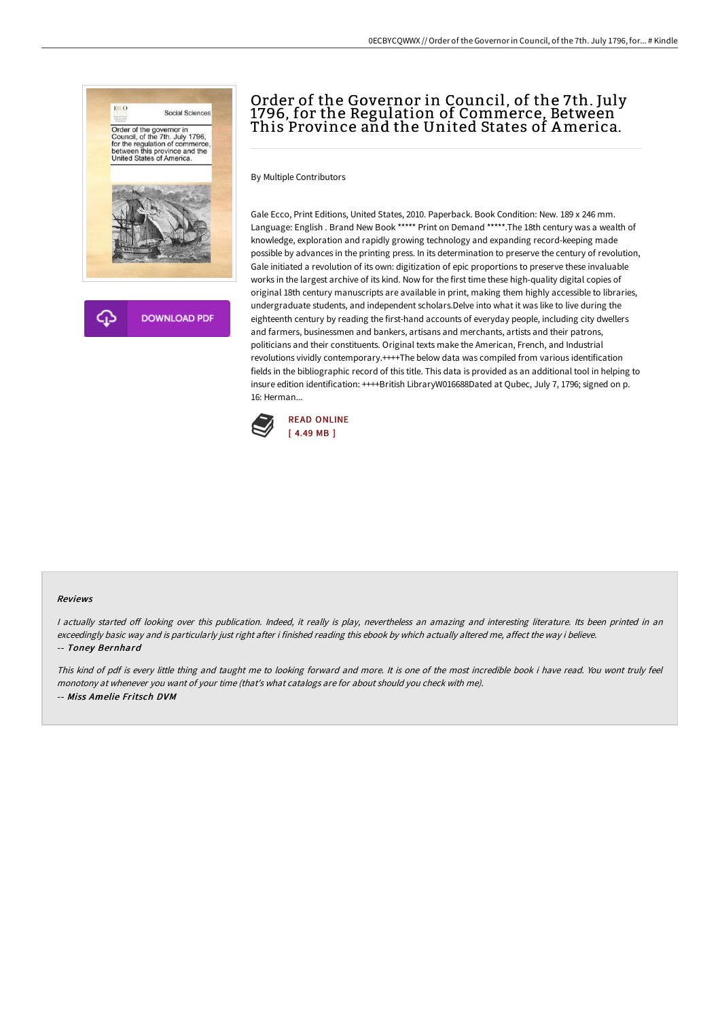

# Order of the Governor in Council, of the 7th. July 1796, for the Regulation of Commerce, Between This Province and the United States of America.

By Multiple Contributors

Gale Ecco, Print Editions, United States, 2010. Paperback. Book Condition: New. 189 x 246 mm. Language: English . Brand New Book \*\*\*\*\* Print on Demand \*\*\*\*\*.The 18th century was a wealth of knowledge, exploration and rapidly growing technology and expanding record-keeping made possible by advances in the printing press. In its determination to preserve the century of revolution, Gale initiated a revolution of its own: digitization of epic proportions to preserve these invaluable works in the largest archive of its kind. Now for the first time these high-quality digital copies of original 18th century manuscripts are available in print, making them highly accessible to libraries, undergraduate students, and independent scholars.Delve into what it was like to live during the eighteenth century by reading the first-hand accounts of everyday people, including city dwellers and farmers, businessmen and bankers, artisans and merchants, artists and their patrons, politicians and their constituents. Original texts make the American, French, and Industrial revolutions vividly contemporary.++++The below data was compiled from various identification fields in the bibliographic record of this title. This data is provided as an additional tool in helping to insure edition identification: ++++British LibraryW016688Dated at Qubec, July 7, 1796; signed on p. 16: Herman...



#### Reviews

I actually started off looking over this publication. Indeed, it really is play, nevertheless an amazing and interesting literature. Its been printed in an exceedingly basic way and is particularly just right after i finished reading this ebook by which actually altered me, affect the way i believe. -- Toney Bernhard

This kind of pdf is every little thing and taught me to looking forward and more. It is one of the most incredible book i have read. You wont truly feel monotony at whenever you want of your time (that's what catalogs are for about should you check with me). -- Miss Amelie Fritsch DVM